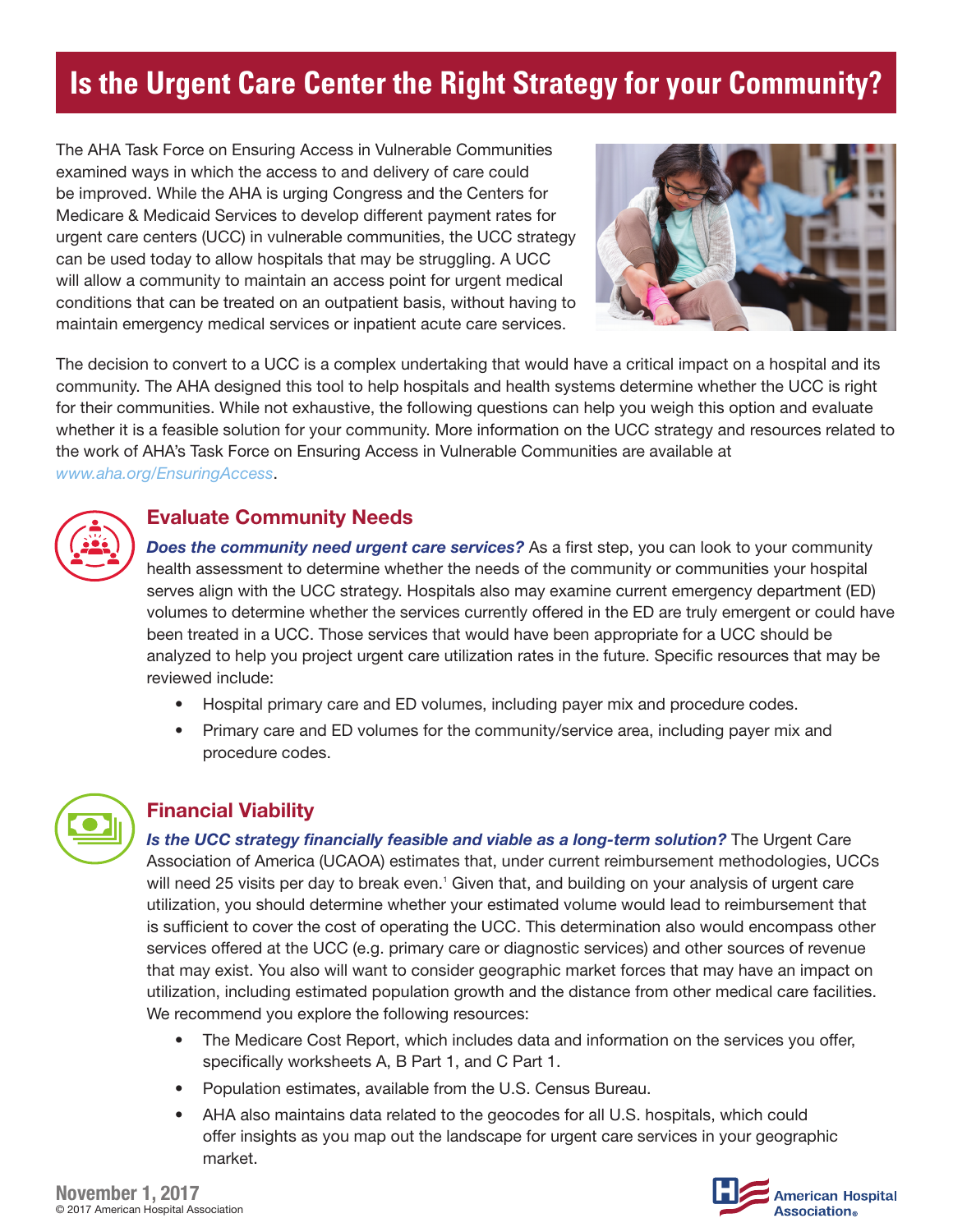# **Is the Urgent Care Center the Right Strategy for your Community?**

The AHA Task Force on Ensuring Access in Vulnerable Communities examined ways in which the access to and delivery of care could be improved. While the AHA is urging Congress and the Centers for Medicare & Medicaid Services to develop different payment rates for urgent care centers (UCC) in vulnerable communities, the UCC strategy can be used today to allow hospitals that may be struggling. A UCC will allow a community to maintain an access point for urgent medical conditions that can be treated on an outpatient basis, without having to maintain emergency medical services or inpatient acute care services.



The decision to convert to a UCC is a complex undertaking that would have a critical impact on a hospital and its community. The AHA designed this tool to help hospitals and health systems determine whether the UCC is right for their communities. While not exhaustive, the following questions can help you weigh this option and evaluate whether it is a feasible solution for your community. More information on the UCC strategy and resources related to the work of AHA's Task Force on Ensuring Access in Vulnerable Communities are available at *www.aha.org/EnsuringAccess*.

## Evaluate Community Needs

**Does the community need urgent care services?** As a first step, you can look to your community health assessment to determine whether the needs of the community or communities your hospital serves align with the UCC strategy. Hospitals also may examine current emergency department (ED) volumes to determine whether the services currently offered in the ED are truly emergent or could have been treated in a UCC. Those services that would have been appropriate for a UCC should be analyzed to help you project urgent care utilization rates in the future. Specific resources that may be reviewed include:

- Hospital primary care and ED volumes, including payer mix and procedure codes.
- Primary care and ED volumes for the community/service area, including payer mix and procedure codes.



## Financial Viability

*Is the UCC strategy financially feasible and viable as a long-term solution?* The Urgent Care Association of America (UCAOA) estimates that, under current reimbursement methodologies, UCCs will need 25 visits per day to break even.<sup>1</sup> Given that, and building on your analysis of urgent care utilization, you should determine whether your estimated volume would lead to reimbursement that is sufficient to cover the cost of operating the UCC. This determination also would encompass other services offered at the UCC (e.g. primary care or diagnostic services) and other sources of revenue that may exist. You also will want to consider geographic market forces that may have an impact on utilization, including estimated population growth and the distance from other medical care facilities. We recommend you explore the following resources:

- The Medicare Cost Report, which includes data and information on the services you offer, specifically worksheets A, B Part 1, and C Part 1.
- Population estimates, available from the U.S. Census Bureau.
- AHA also maintains data related to the geocodes for all U.S. hospitals, which could offer insights as you map out the landscape for urgent care services in your geographic market.